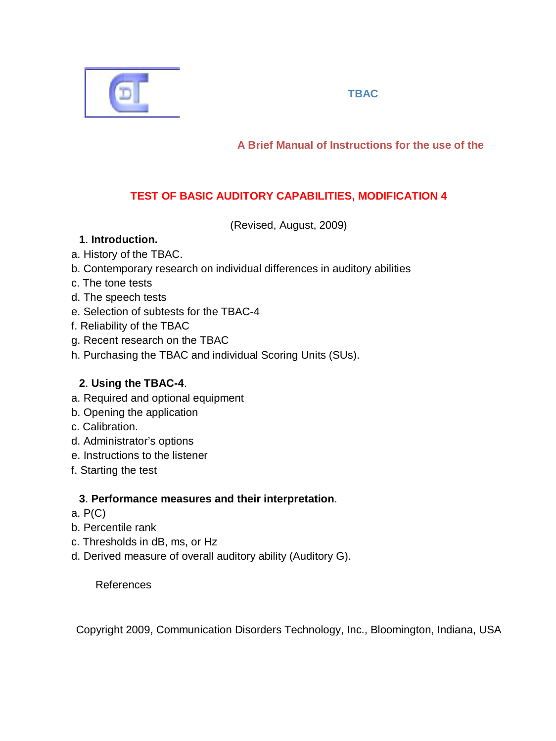

## **TBAC**

**A Brief Manual of Instructions for the use of the** 

# **TEST OF BASIC AUDITORY CAPABILITIES, MODIFICATION 4**

(Revised, August, 2009)

## **1**. **Introduction.**

- a. History of the TBAC.
- b. Contemporary research on individual differences in auditory abilities
- c. The tone tests
- d. The speech tests
- e. Selection of subtests for the TBAC-4
- f. Reliability of the TBAC
- g. Recent research on the TBAC
- h. Purchasing the TBAC and individual Scoring Units (SUs).

## **2**. **Using the TBAC-4**.

- a. Required and optional equipment
- b. Opening the application
- c. Calibration.
- d. Administrator's options
- e. Instructions to the listener
- f. Starting the test

### **3**. **Performance measures and their interpretation**.

- a. P(C)
- b. Percentile rank
- c. Thresholds in dB, ms, or Hz
- d. Derived measure of overall auditory ability (Auditory G).

References

Copyright 2009, Communication Disorders Technology, Inc., Bloomington, Indiana, USA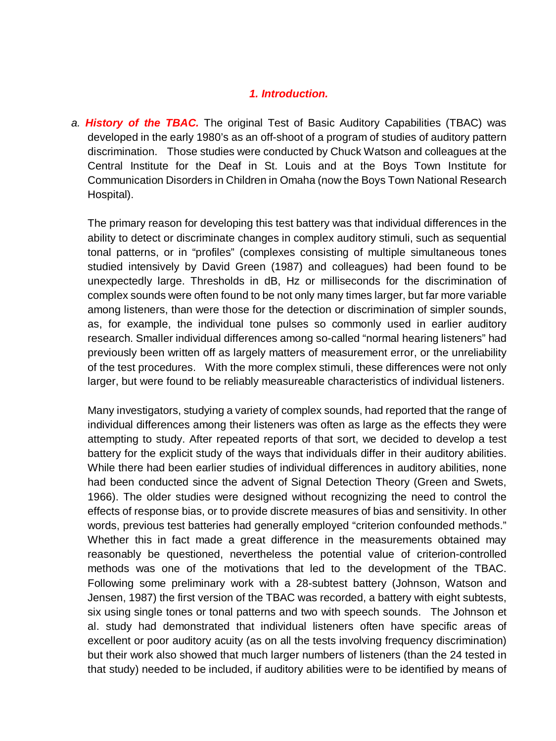### *1. Introduction.*

*a. History of the TBAC.* The original Test of Basic Auditory Capabilities (TBAC) was developed in the early 1980's as an off-shoot of a program of studies of auditory pattern discrimination. Those studies were conducted by Chuck Watson and colleagues at the Central Institute for the Deaf in St. Louis and at the Boys Town Institute for Communication Disorders in Children in Omaha (now the Boys Town National Research Hospital).

The primary reason for developing this test battery was that individual differences in the ability to detect or discriminate changes in complex auditory stimuli, such as sequential tonal patterns, or in "profiles" (complexes consisting of multiple simultaneous tones studied intensively by David Green (1987) and colleagues) had been found to be unexpectedly large. Thresholds in dB, Hz or milliseconds for the discrimination of complex sounds were often found to be not only many times larger, but far more variable among listeners, than were those for the detection or discrimination of simpler sounds, as, for example, the individual tone pulses so commonly used in earlier auditory research. Smaller individual differences among so-called "normal hearing listeners" had previously been written off as largely matters of measurement error, or the unreliability of the test procedures. With the more complex stimuli, these differences were not only larger, but were found to be reliably measureable characteristics of individual listeners.

Many investigators, studying a variety of complex sounds, had reported that the range of individual differences among their listeners was often as large as the effects they were attempting to study. After repeated reports of that sort, we decided to develop a test battery for the explicit study of the ways that individuals differ in their auditory abilities. While there had been earlier studies of individual differences in auditory abilities, none had been conducted since the advent of Signal Detection Theory (Green and Swets, 1966). The older studies were designed without recognizing the need to control the effects of response bias, or to provide discrete measures of bias and sensitivity. In other words, previous test batteries had generally employed "criterion confounded methods." Whether this in fact made a great difference in the measurements obtained may reasonably be questioned, nevertheless the potential value of criterion-controlled methods was one of the motivations that led to the development of the TBAC. Following some preliminary work with a 28-subtest battery (Johnson, Watson and Jensen, 1987) the first version of the TBAC was recorded, a battery with eight subtests, six using single tones or tonal patterns and two with speech sounds. The Johnson et al. study had demonstrated that individual listeners often have specific areas of excellent or poor auditory acuity (as on all the tests involving frequency discrimination) but their work also showed that much larger numbers of listeners (than the 24 tested in that study) needed to be included, if auditory abilities were to be identified by means of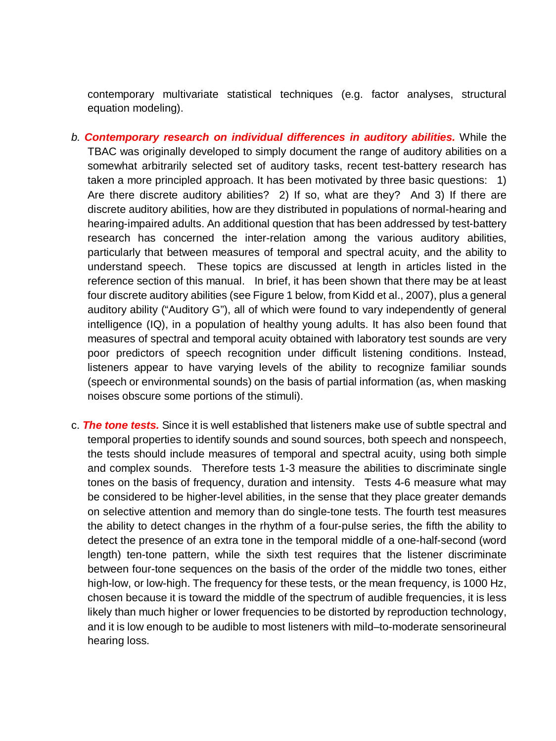contemporary multivariate statistical techniques (e.g. factor analyses, structural equation modeling).

- *b. Contemporary research on individual differences in auditory abilities.* While the TBAC was originally developed to simply document the range of auditory abilities on a somewhat arbitrarily selected set of auditory tasks, recent test-battery research has taken a more principled approach. It has been motivated by three basic questions: 1) Are there discrete auditory abilities? 2) If so, what are they? And 3) If there are discrete auditory abilities, how are they distributed in populations of normal-hearing and hearing-impaired adults. An additional question that has been addressed by test-battery research has concerned the inter-relation among the various auditory abilities, particularly that between measures of temporal and spectral acuity, and the ability to understand speech. These topics are discussed at length in articles listed in the reference section of this manual. In brief, it has been shown that there may be at least four discrete auditory abilities (see Figure 1 below, from Kidd et al., 2007), plus a general auditory ability ("Auditory G"), all of which were found to vary independently of general intelligence (IQ), in a population of healthy young adults. It has also been found that measures of spectral and temporal acuity obtained with laboratory test sounds are very poor predictors of speech recognition under difficult listening conditions. Instead, listeners appear to have varying levels of the ability to recognize familiar sounds (speech or environmental sounds) on the basis of partial information (as, when masking noises obscure some portions of the stimuli).
- c. *The tone tests.* Since it is well established that listeners make use of subtle spectral and temporal properties to identify sounds and sound sources, both speech and nonspeech, the tests should include measures of temporal and spectral acuity, using both simple and complex sounds. Therefore tests 1-3 measure the abilities to discriminate single tones on the basis of frequency, duration and intensity. Tests 4-6 measure what may be considered to be higher-level abilities, in the sense that they place greater demands on selective attention and memory than do single-tone tests. The fourth test measures the ability to detect changes in the rhythm of a four-pulse series, the fifth the ability to detect the presence of an extra tone in the temporal middle of a one-half-second (word length) ten-tone pattern, while the sixth test requires that the listener discriminate between four-tone sequences on the basis of the order of the middle two tones, either high-low, or low-high. The frequency for these tests, or the mean frequency, is 1000 Hz, chosen because it is toward the middle of the spectrum of audible frequencies, it is less likely than much higher or lower frequencies to be distorted by reproduction technology, and it is low enough to be audible to most listeners with mild–to-moderate sensorineural hearing loss.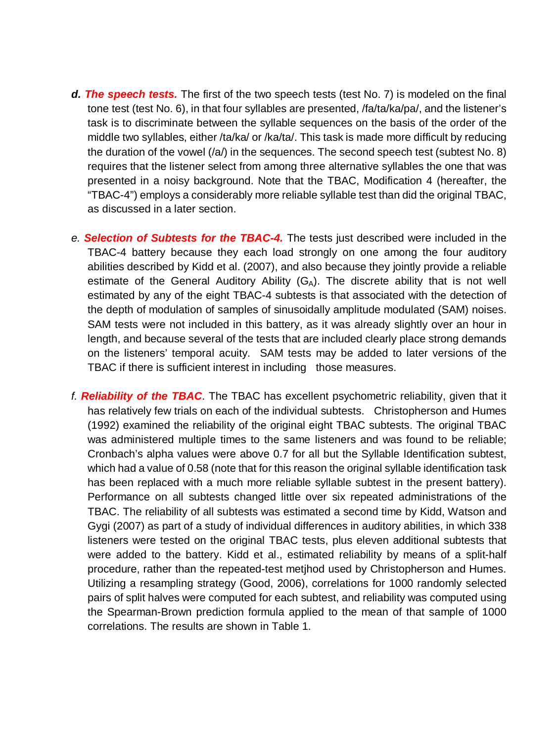- *d. The speech tests.* The first of the two speech tests (test No. 7) is modeled on the final tone test (test No. 6), in that four syllables are presented, /fa/ta/ka/pa/, and the listener's task is to discriminate between the syllable sequences on the basis of the order of the middle two syllables, either /ta/ka/ or /ka/ta/. This task is made more difficult by reducing the duration of the vowel  $(\alpha)$  in the sequences. The second speech test (subtest No. 8) requires that the listener select from among three alternative syllables the one that was presented in a noisy background. Note that the TBAC, Modification 4 (hereafter, the "TBAC-4") employs a considerably more reliable syllable test than did the original TBAC, as discussed in a later section.
- *e. Selection of Subtests for the TBAC-4.* The tests just described were included in the TBAC-4 battery because they each load strongly on one among the four auditory abilities described by Kidd et al. (2007), and also because they jointly provide a reliable estimate of the General Auditory Ability  $(G_A)$ . The discrete ability that is not well estimated by any of the eight TBAC-4 subtests is that associated with the detection of the depth of modulation of samples of sinusoidally amplitude modulated (SAM) noises. SAM tests were not included in this battery, as it was already slightly over an hour in length, and because several of the tests that are included clearly place strong demands on the listeners' temporal acuity. SAM tests may be added to later versions of the TBAC if there is sufficient interest in including those measures.
- *f. Reliability of the TBAC*. The TBAC has excellent psychometric reliability, given that it has relatively few trials on each of the individual subtests. Christopherson and Humes (1992) examined the reliability of the original eight TBAC subtests. The original TBAC was administered multiple times to the same listeners and was found to be reliable; Cronbach's alpha values were above 0.7 for all but the Syllable Identification subtest, which had a value of 0.58 (note that for this reason the original syllable identification task has been replaced with a much more reliable syllable subtest in the present battery). Performance on all subtests changed little over six repeated administrations of the TBAC. The reliability of all subtests was estimated a second time by Kidd, Watson and Gygi (2007) as part of a study of individual differences in auditory abilities, in which 338 listeners were tested on the original TBAC tests, plus eleven additional subtests that were added to the battery. Kidd et al., estimated reliability by means of a split-half procedure, rather than the repeated-test metjhod used by Christopherson and Humes. Utilizing a resampling strategy (Good, 2006), correlations for 1000 randomly selected pairs of split halves were computed for each subtest, and reliability was computed using the Spearman-Brown prediction formula applied to the mean of that sample of 1000 correlations. The results are shown in Table 1.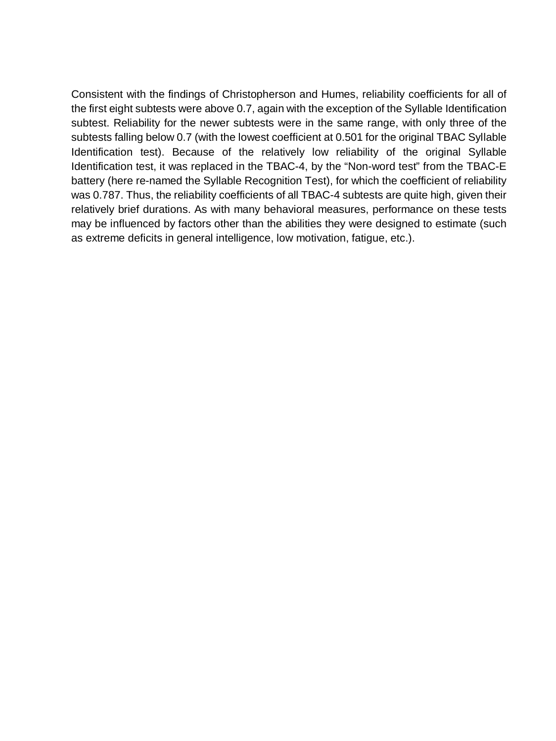Consistent with the findings of Christopherson and Humes, reliability coefficients for all of the first eight subtests were above 0.7, again with the exception of the Syllable Identification subtest. Reliability for the newer subtests were in the same range, with only three of the subtests falling below 0.7 (with the lowest coefficient at 0.501 for the original TBAC Syllable Identification test). Because of the relatively low reliability of the original Syllable Identification test, it was replaced in the TBAC-4, by the "Non-word test" from the TBAC-E battery (here re-named the Syllable Recognition Test), for which the coefficient of reliability was 0.787. Thus, the reliability coefficients of all TBAC-4 subtests are quite high, given their relatively brief durations. As with many behavioral measures, performance on these tests may be influenced by factors other than the abilities they were designed to estimate (such as extreme deficits in general intelligence, low motivation, fatigue, etc.).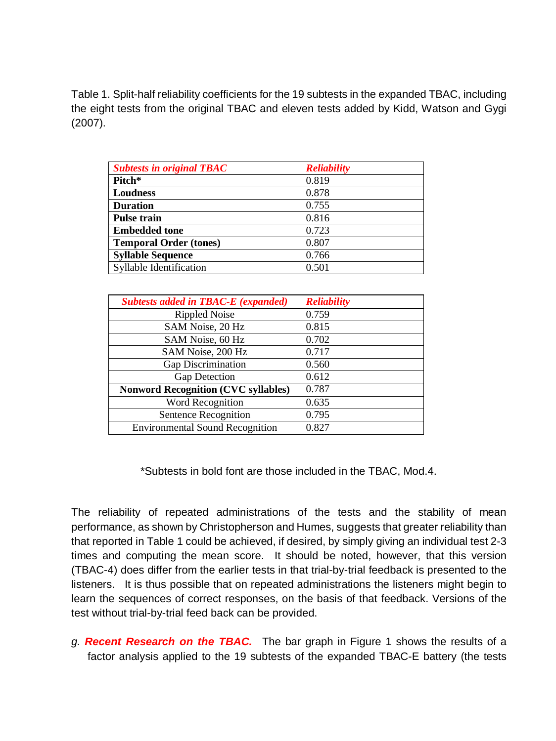Table 1. Split-half reliability coefficients for the 19 subtests in the expanded TBAC, including the eight tests from the original TBAC and eleven tests added by Kidd, Watson and Gygi (2007).

| <b>Subtests in original TBAC</b> | <b>Reliability</b> |
|----------------------------------|--------------------|
| Pitch*                           | 0.819              |
| <b>Loudness</b>                  | 0.878              |
| <b>Duration</b>                  | 0.755              |
| <b>Pulse train</b>               | 0.816              |
| <b>Embedded tone</b>             | 0.723              |
| <b>Temporal Order (tones)</b>    | 0.807              |
| <b>Syllable Sequence</b>         | 0.766              |
| Syllable Identification          | 0.501              |

| <b>Subtests added in TBAC-E (expanded)</b> | <b>Reliability</b> |
|--------------------------------------------|--------------------|
| <b>Rippled Noise</b>                       | 0.759              |
| SAM Noise, 20 Hz                           | 0.815              |
| SAM Noise, 60 Hz                           | 0.702              |
| SAM Noise, 200 Hz                          | 0.717              |
| Gap Discrimination                         | 0.560              |
| <b>Gap Detection</b>                       | 0.612              |
| <b>Nonword Recognition (CVC syllables)</b> | 0.787              |
| Word Recognition                           | 0.635              |
| Sentence Recognition                       | 0.795              |
| <b>Environmental Sound Recognition</b>     | 0.827              |

\*Subtests in bold font are those included in the TBAC, Mod.4.

The reliability of repeated administrations of the tests and the stability of mean performance, as shown by Christopherson and Humes, suggests that greater reliability than that reported in Table 1 could be achieved, if desired, by simply giving an individual test 2-3 times and computing the mean score. It should be noted, however, that this version (TBAC-4) does differ from the earlier tests in that trial-by-trial feedback is presented to the listeners. It is thus possible that on repeated administrations the listeners might begin to learn the sequences of correct responses, on the basis of that feedback. Versions of the test without trial-by-trial feed back can be provided.

*g. Recent Research on the TBAC.* The bar graph in Figure 1 shows the results of a factor analysis applied to the 19 subtests of the expanded TBAC-E battery (the tests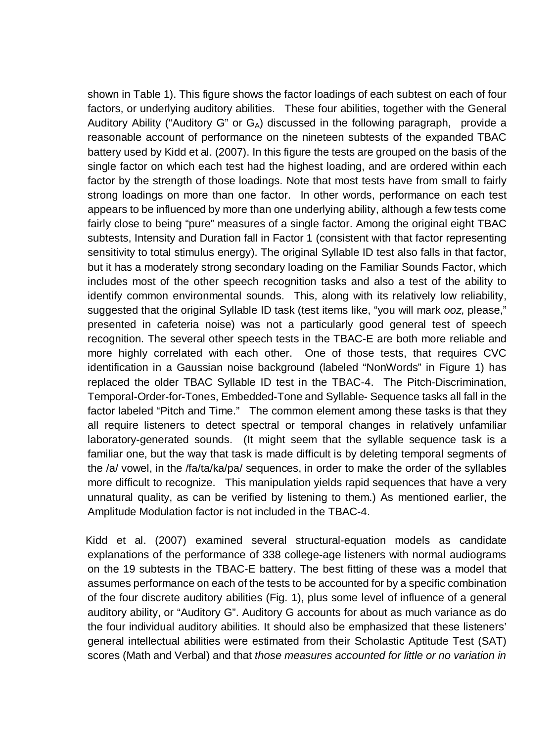shown in Table 1). This figure shows the factor loadings of each subtest on each of four factors, or underlying auditory abilities. These four abilities, together with the General Auditory Ability ("Auditory G" or  $G_A$ ) discussed in the following paragraph, provide a reasonable account of performance on the nineteen subtests of the expanded TBAC battery used by Kidd et al. (2007). In this figure the tests are grouped on the basis of the single factor on which each test had the highest loading, and are ordered within each factor by the strength of those loadings. Note that most tests have from small to fairly strong loadings on more than one factor. In other words, performance on each test appears to be influenced by more than one underlying ability, although a few tests come fairly close to being "pure" measures of a single factor. Among the original eight TBAC subtests, Intensity and Duration fall in Factor 1 (consistent with that factor representing sensitivity to total stimulus energy). The original Syllable ID test also falls in that factor, but it has a moderately strong secondary loading on the Familiar Sounds Factor, which includes most of the other speech recognition tasks and also a test of the ability to identify common environmental sounds. This, along with its relatively low reliability, suggested that the original Syllable ID task (test items like, "you will mark *ooz*, please," presented in cafeteria noise) was not a particularly good general test of speech recognition. The several other speech tests in the TBAC-E are both more reliable and more highly correlated with each other. One of those tests, that requires CVC identification in a Gaussian noise background (labeled "NonWords" in Figure 1) has replaced the older TBAC Syllable ID test in the TBAC-4. The Pitch-Discrimination, Temporal-Order-for-Tones, Embedded-Tone and Syllable- Sequence tasks all fall in the factor labeled "Pitch and Time." The common element among these tasks is that they all require listeners to detect spectral or temporal changes in relatively unfamiliar laboratory-generated sounds. (It might seem that the syllable sequence task is a familiar one, but the way that task is made difficult is by deleting temporal segments of the /a/ vowel, in the /fa/ta/ka/pa/ sequences, in order to make the order of the syllables more difficult to recognize. This manipulation yields rapid sequences that have a very unnatural quality, as can be verified by listening to them.) As mentioned earlier, the Amplitude Modulation factor is not included in the TBAC-4.

Kidd et al. (2007) examined several structural-equation models as candidate explanations of the performance of 338 college-age listeners with normal audiograms on the 19 subtests in the TBAC-E battery. The best fitting of these was a model that assumes performance on each of the tests to be accounted for by a specific combination of the four discrete auditory abilities (Fig. 1), plus some level of influence of a general auditory ability, or "Auditory G". Auditory G accounts for about as much variance as do the four individual auditory abilities. It should also be emphasized that these listeners' general intellectual abilities were estimated from their Scholastic Aptitude Test (SAT) scores (Math and Verbal) and that *those measures accounted for little or no variation in*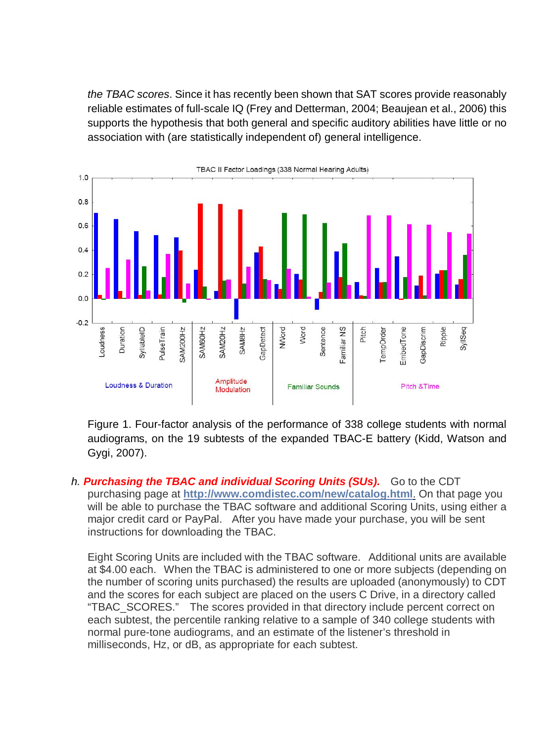*the TBAC scores*. Since it has recently been shown that SAT scores provide reasonably reliable estimates of full-scale IQ (Frey and Detterman, 2004; Beaujean et al., 2006) this supports the hypothesis that both general and specific auditory abilities have little or no association with (are statistically independent of) general intelligence.



Figure 1. Four-factor analysis of the performance of 338 college students with normal audiograms, on the 19 subtests of the expanded TBAC-E battery (Kidd, Watson and Gygi, 2007).

*h. Purchasing the TBAC and individual Scoring Units (SUs).* Go to the CDT purchasing page at **<http://www.comdistec.com/new/catalog.html>**. On that page you will be able to purchase the TBAC software and additional Scoring Units, using either a major credit card or PayPal. After you have made your purchase, you will be sent instructions for downloading the TBAC.

Eight Scoring Units are included with the TBAC software. Additional units are available at \$4.00 each. When the TBAC is administered to one or more subjects (depending on the number of scoring units purchased) the results are uploaded (anonymously) to CDT and the scores for each subject are placed on the users C Drive, in a directory called "TBAC\_SCORES." The scores provided in that directory include percent correct on each subtest, the percentile ranking relative to a sample of 340 college students with normal pure-tone audiograms, and an estimate of the listener's threshold in milliseconds, Hz, or dB, as appropriate for each subtest.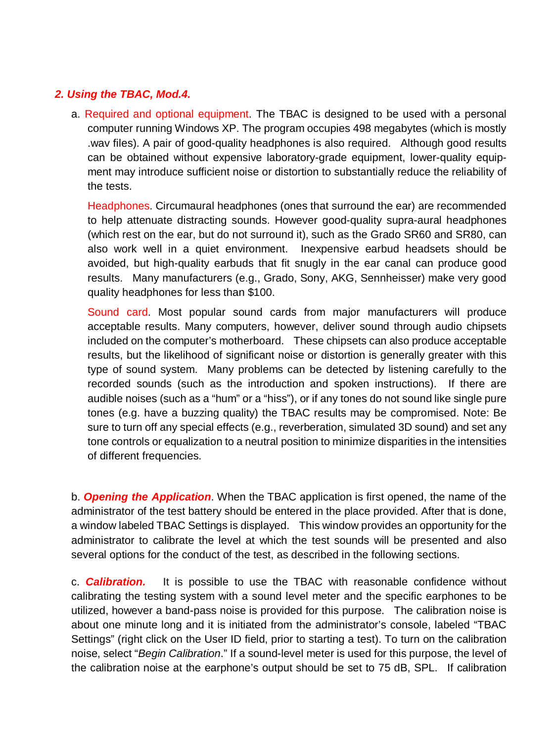## *2. Using the TBAC, Mod.4.*

a. Required and optional equipment. The TBAC is designed to be used with a personal computer running Windows XP. The program occupies 498 megabytes (which is mostly .wav files). A pair of good-quality headphones is also required. Although good results can be obtained without expensive laboratory-grade equipment, lower-quality equipment may introduce sufficient noise or distortion to substantially reduce the reliability of the tests.

Headphones. Circumaural headphones (ones that surround the ear) are recommended to help attenuate distracting sounds. However good-quality supra-aural headphones (which rest on the ear, but do not surround it), such as the Grado SR60 and SR80, can also work well in a quiet environment. Inexpensive earbud headsets should be avoided, but high-quality earbuds that fit snugly in the ear canal can produce good results. Many manufacturers (e.g., Grado, Sony, AKG, Sennheisser) make very good quality headphones for less than \$100.

Sound card. Most popular sound cards from major manufacturers will produce acceptable results. Many computers, however, deliver sound through audio chipsets included on the computer's motherboard. These chipsets can also produce acceptable results, but the likelihood of significant noise or distortion is generally greater with this type of sound system. Many problems can be detected by listening carefully to the recorded sounds (such as the introduction and spoken instructions). If there are audible noises (such as a "hum" or a "hiss"), or if any tones do not sound like single pure tones (e.g. have a buzzing quality) the TBAC results may be compromised. Note: Be sure to turn off any special effects (e.g., reverberation, simulated 3D sound) and set any tone controls or equalization to a neutral position to minimize disparities in the intensities of different frequencies.

b. *Opening the Application*. When the TBAC application is first opened, the name of the administrator of the test battery should be entered in the place provided. After that is done, a window labeled TBAC Settings is displayed. This window provides an opportunity for the administrator to calibrate the level at which the test sounds will be presented and also several options for the conduct of the test, as described in the following sections.

c. *Calibration.* It is possible to use the TBAC with reasonable confidence without calibrating the testing system with a sound level meter and the specific earphones to be utilized, however a band-pass noise is provided for this purpose. The calibration noise is about one minute long and it is initiated from the administrator's console, labeled "TBAC Settings" (right click on the User ID field, prior to starting a test). To turn on the calibration noise, select "*Begin Calibration*." If a sound-level meter is used for this purpose, the level of the calibration noise at the earphone's output should be set to 75 dB, SPL. If calibration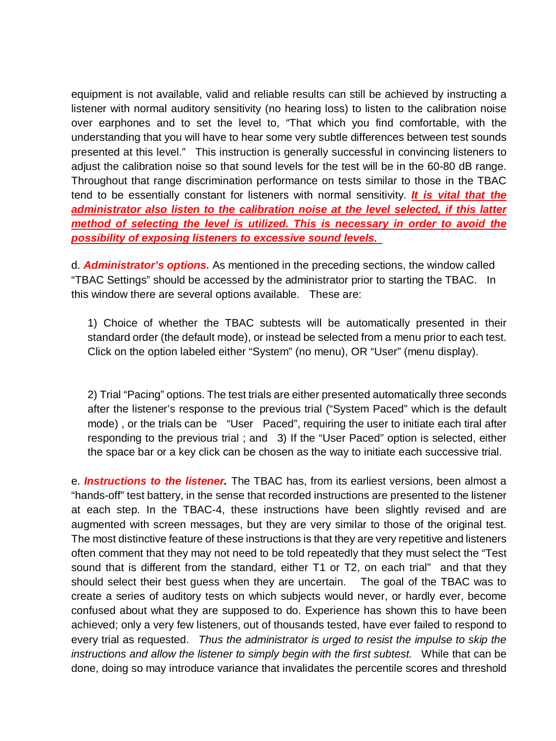equipment is not available, valid and reliable results can still be achieved by instructing a listener with normal auditory sensitivity (no hearing loss) to listen to the calibration noise over earphones and to set the level to, "That which you find comfortable, with the understanding that you will have to hear some very subtle differences between test sounds presented at this level." This instruction is generally successful in convincing listeners to adjust the calibration noise so that sound levels for the test will be in the 60-80 dB range. Throughout that range discrimination performance on tests similar to those in the TBAC tend to be essentially constant for listeners with normal sensitivity. *It is vital that the administrator also listen to the calibration noise at the level selected, if this latter method of selecting the level is utilized. This is necessary in order to avoid the possibility of exposing listeners to excessive sound levels.* 

d. *Administrator's options.* As mentioned in the preceding sections, the window called "TBAC Settings" should be accessed by the administrator prior to starting the TBAC. In this window there are several options available. These are:

1) Choice of whether the TBAC subtests will be automatically presented in their standard order (the default mode), or instead be selected from a menu prior to each test. Click on the option labeled either "System" (no menu), OR "User" (menu display).

2) Trial "Pacing" options. The test trials are either presented automatically three seconds after the listener's response to the previous trial ("System Paced" which is the default mode) , or the trials can be "User Paced", requiring the user to initiate each tiral after responding to the previous trial ; and 3) If the "User Paced" option is selected, either the space bar or a key click can be chosen as the way to initiate each successive trial.

e. *Instructions to the listener.* The TBAC has, from its earliest versions, been almost a "hands-off" test battery, in the sense that recorded instructions are presented to the listener at each step. In the TBAC-4, these instructions have been slightly revised and are augmented with screen messages, but they are very similar to those of the original test. The most distinctive feature of these instructions is that they are very repetitive and listeners often comment that they may not need to be told repeatedly that they must select the "Test sound that is different from the standard, either T1 or T2, on each trial" and that they should select their best guess when they are uncertain. The goal of the TBAC was to create a series of auditory tests on which subjects would never, or hardly ever, become confused about what they are supposed to do. Experience has shown this to have been achieved; only a very few listeners, out of thousands tested, have ever failed to respond to every trial as requested. *Thus the administrator is urged to resist the impulse to skip the instructions and allow the listener to simply begin with the first subtest.* While that can be done, doing so may introduce variance that invalidates the percentile scores and threshold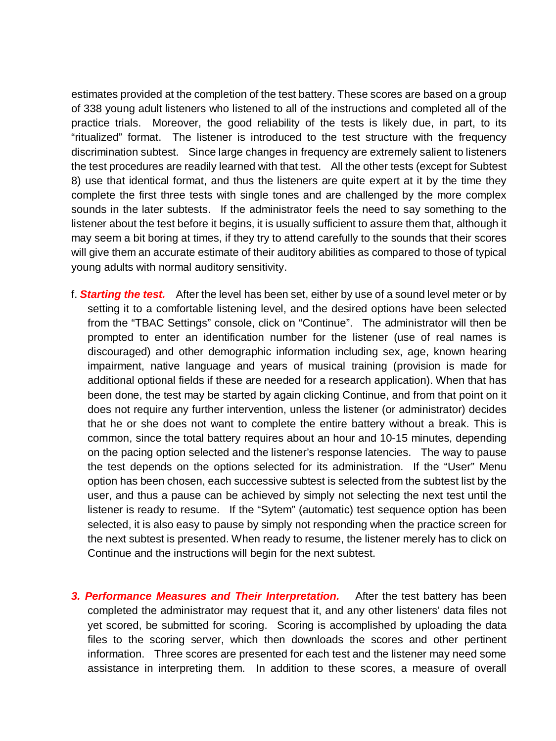estimates provided at the completion of the test battery. These scores are based on a group of 338 young adult listeners who listened to all of the instructions and completed all of the practice trials. Moreover, the good reliability of the tests is likely due, in part, to its "ritualized" format. The listener is introduced to the test structure with the frequency discrimination subtest. Since large changes in frequency are extremely salient to listeners the test procedures are readily learned with that test. All the other tests (except for Subtest 8) use that identical format, and thus the listeners are quite expert at it by the time they complete the first three tests with single tones and are challenged by the more complex sounds in the later subtests. If the administrator feels the need to say something to the listener about the test before it begins, it is usually sufficient to assure them that, although it may seem a bit boring at times, if they try to attend carefully to the sounds that their scores will give them an accurate estimate of their auditory abilities as compared to those of typical young adults with normal auditory sensitivity.

- f. *Starting the test.* After the level has been set, either by use of a sound level meter or by setting it to a comfortable listening level, and the desired options have been selected from the "TBAC Settings" console, click on "Continue". The administrator will then be prompted to enter an identification number for the listener (use of real names is discouraged) and other demographic information including sex, age, known hearing impairment, native language and years of musical training (provision is made for additional optional fields if these are needed for a research application). When that has been done, the test may be started by again clicking Continue, and from that point on it does not require any further intervention, unless the listener (or administrator) decides that he or she does not want to complete the entire battery without a break. This is common, since the total battery requires about an hour and 10-15 minutes, depending on the pacing option selected and the listener's response latencies. The way to pause the test depends on the options selected for its administration. If the "User" Menu option has been chosen, each successive subtest is selected from the subtest list by the user, and thus a pause can be achieved by simply not selecting the next test until the listener is ready to resume. If the "Sytem" (automatic) test sequence option has been selected, it is also easy to pause by simply not responding when the practice screen for the next subtest is presented. When ready to resume, the listener merely has to click on Continue and the instructions will begin for the next subtest.
- **3. Performance Measures and Their Interpretation.** After the test battery has been completed the administrator may request that it, and any other listeners' data files not yet scored, be submitted for scoring. Scoring is accomplished by uploading the data files to the scoring server, which then downloads the scores and other pertinent information. Three scores are presented for each test and the listener may need some assistance in interpreting them. In addition to these scores, a measure of overall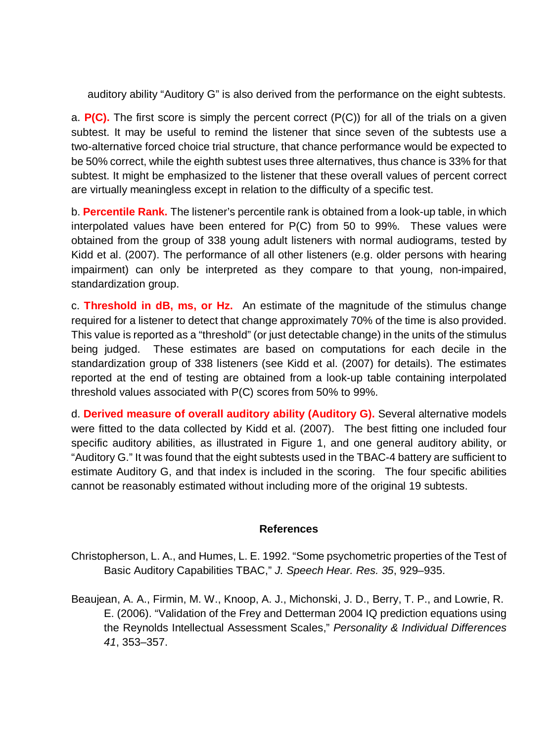auditory ability "Auditory G" is also derived from the performance on the eight subtests.

a. **P(C).** The first score is simply the percent correct (P(C)) for all of the trials on a given subtest. It may be useful to remind the listener that since seven of the subtests use a two-alternative forced choice trial structure, that chance performance would be expected to be 50% correct, while the eighth subtest uses three alternatives, thus chance is 33% for that subtest. It might be emphasized to the listener that these overall values of percent correct are virtually meaningless except in relation to the difficulty of a specific test.

b. **Percentile Rank.** The listener's percentile rank is obtained from a look-up table, in which interpolated values have been entered for P(C) from 50 to 99%. These values were obtained from the group of 338 young adult listeners with normal audiograms, tested by Kidd et al. (2007). The performance of all other listeners (e.g. older persons with hearing impairment) can only be interpreted as they compare to that young, non-impaired, standardization group.

c. **Threshold in dB, ms, or Hz.** An estimate of the magnitude of the stimulus change required for a listener to detect that change approximately 70% of the time is also provided. This value is reported as a "threshold" (or just detectable change) in the units of the stimulus being judged. These estimates are based on computations for each decile in the standardization group of 338 listeners (see Kidd et al. (2007) for details). The estimates reported at the end of testing are obtained from a look-up table containing interpolated threshold values associated with P(C) scores from 50% to 99%.

d. **Derived measure of overall auditory ability (Auditory G).** Several alternative models were fitted to the data collected by Kidd et al. (2007). The best fitting one included four specific auditory abilities, as illustrated in Figure 1, and one general auditory ability, or "Auditory G." It was found that the eight subtests used in the TBAC-4 battery are sufficient to estimate Auditory G, and that index is included in the scoring. The four specific abilities cannot be reasonably estimated without including more of the original 19 subtests.

#### **References**

- Christopherson, L. A., and Humes, L. E. 1992. "Some psychometric properties of the Test of Basic Auditory Capabilities TBAC," *J. Speech Hear. Res. 35*, 929–935.
- Beaujean, A. A., Firmin, M. W., Knoop, A. J., Michonski, J. D., Berry, T. P., and Lowrie, R. E. (2006). "Validation of the Frey and Detterman 2004 IQ prediction equations using the Reynolds Intellectual Assessment Scales," *Personality & Individual Differences 41*, 353–357.